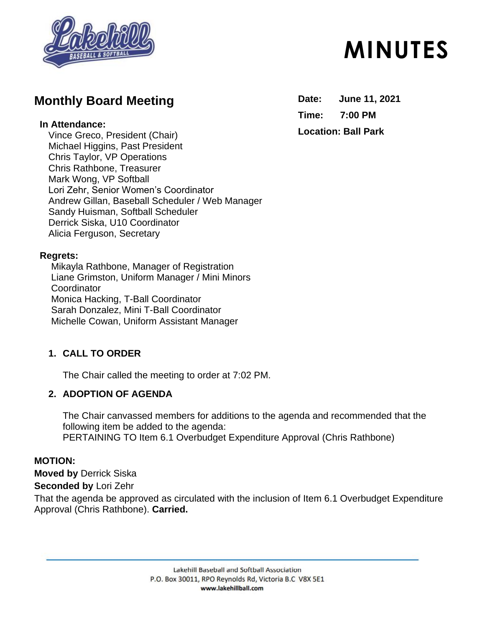

## **Monthly Board Meeting**

#### **In Attendance:**

Vince Greco, President (Chair) Michael Higgins, Past President Chris Taylor, VP Operations Chris Rathbone, Treasurer Mark Wong, VP Softball Lori Zehr, Senior Women's Coordinator Andrew Gillan, Baseball Scheduler / Web Manager Sandy Huisman, Softball Scheduler Derrick Siska, U10 Coordinator Alicia Ferguson, Secretary

#### **Regrets:**

Mikayla Rathbone, Manager of Registration Liane Grimston, Uniform Manager / Mini Minors **Coordinator** Monica Hacking, T-Ball Coordinator Sarah Donzalez, Mini T-Ball Coordinator Michelle Cowan, Uniform Assistant Manager

## **1. CALL TO ORDER**

The Chair called the meeting to order at 7:02 PM.

## **2. ADOPTION OF AGENDA**

The Chair canvassed members for additions to the agenda and recommended that the following item be added to the agenda: PERTAINING TO Item 6.1 Overbudget Expenditure Approval (Chris Rathbone)

#### **MOTION:**

**Moved by** Derrick Siska

**Seconded by** Lori Zehr

That the agenda be approved as circulated with the inclusion of Item 6.1 Overbudget Expenditure Approval (Chris Rathbone). **Carried.**

# **MINUTES**

**Date: June 11, 2021 Time: 7:00 PM Location: Ball Park**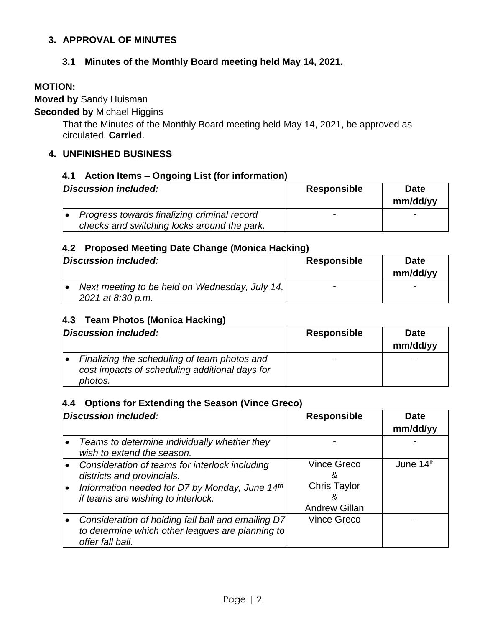#### **3. APPROVAL OF MINUTES**

#### **3.1 Minutes of the Monthly Board meeting held May 14, 2021.**

#### **MOTION:**

**Moved by** Sandy Huisman

**Seconded by** Michael Higgins

That the Minutes of the Monthly Board meeting held May 14, 2021, be approved as circulated. **Carried**.

#### **4. UNFINISHED BUSINESS**

#### **4.1 Action Items – Ongoing List (for information)**

| Discussion included:                        | <b>Responsible</b> | <b>Date</b><br>mm/dd/yy  |
|---------------------------------------------|--------------------|--------------------------|
| Progress towards finalizing criminal record |                    | $\overline{\phantom{0}}$ |
| checks and switching locks around the park. |                    |                          |

#### **4.2 Proposed Meeting Date Change (Monica Hacking)**

| Discussion included:                                                | <b>Responsible</b>       | <b>Date</b><br>mm/dd/yy |
|---------------------------------------------------------------------|--------------------------|-------------------------|
| Next meeting to be held on Wednesday, July 14,<br>2021 at 8:30 p.m. | $\overline{\phantom{0}}$ | -                       |

#### **4.3 Team Photos (Monica Hacking)**

| Discussion included: |                                                                                                           | <b>Responsible</b> | <b>Date</b><br>mm/dd/yy |
|----------------------|-----------------------------------------------------------------------------------------------------------|--------------------|-------------------------|
|                      | Finalizing the scheduling of team photos and<br>cost impacts of scheduling additional days for<br>photos. | -                  |                         |

#### **4.4 Options for Extending the Season (Vince Greco)**

| Discussion included: |                                                                                                                                                                      | <b>Responsible</b>                                                          | <b>Date</b><br>mm/dd/yy |
|----------------------|----------------------------------------------------------------------------------------------------------------------------------------------------------------------|-----------------------------------------------------------------------------|-------------------------|
|                      | Teams to determine individually whether they<br>wish to extend the season.                                                                                           |                                                                             |                         |
|                      | Consideration of teams for interlock including<br>districts and provincials.<br>Information needed for D7 by Monday, June 14th<br>if teams are wishing to interlock. | <b>Vince Greco</b><br>ă<br><b>Chris Taylor</b><br>Ğ<br><b>Andrew Gillan</b> | June 14th               |
|                      | Consideration of holding fall ball and emailing D7<br>to determine which other leagues are planning to<br>offer fall ball.                                           | <b>Vince Greco</b>                                                          |                         |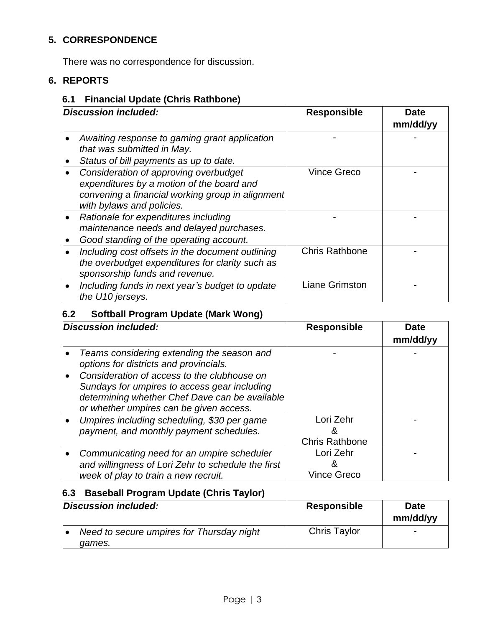## **5. CORRESPONDENCE**

There was no correspondence for discussion.

## **6. REPORTS**

## **6.1 Financial Update (Chris Rathbone)**

| Discussion included: |                                                                                                                                                                     | <b>Responsible</b>    | <b>Date</b><br>mm/dd/yy |
|----------------------|---------------------------------------------------------------------------------------------------------------------------------------------------------------------|-----------------------|-------------------------|
|                      | Awaiting response to gaming grant application<br>that was submitted in May.<br>Status of bill payments as up to date.                                               |                       |                         |
|                      | Consideration of approving overbudget<br>expenditures by a motion of the board and<br>convening a financial working group in alignment<br>with bylaws and policies. | <b>Vince Greco</b>    |                         |
|                      | Rationale for expenditures including<br>maintenance needs and delayed purchases.<br>Good standing of the operating account.                                         |                       |                         |
|                      | Including cost offsets in the document outlining<br>the overbudget expenditures for clarity such as<br>sponsorship funds and revenue.                               | <b>Chris Rathbone</b> |                         |
|                      | Including funds in next year's budget to update<br>the U10 jerseys.                                                                                                 | <b>Liane Grimston</b> |                         |

## **6.2 Softball Program Update (Mark Wong)**

| Discussion included:                                                                                                                                                                                                                                                             | <b>Responsible</b>                      | Date<br>mm/dd/yy |
|----------------------------------------------------------------------------------------------------------------------------------------------------------------------------------------------------------------------------------------------------------------------------------|-----------------------------------------|------------------|
| Teams considering extending the season and<br>options for districts and provincials.<br>Consideration of access to the clubhouse on<br>Sundays for umpires to access gear including<br>determining whether Chef Dave can be available<br>or whether umpires can be given access. |                                         |                  |
| Umpires including scheduling, \$30 per game<br>payment, and monthly payment schedules.                                                                                                                                                                                           | Lori Zehr<br>Ğ<br><b>Chris Rathbone</b> |                  |
| Communicating need for an umpire scheduler<br>and willingness of Lori Zehr to schedule the first<br>week of play to train a new recruit.                                                                                                                                         | Lori Zehr<br><b>Vince Greco</b>         |                  |

## **6.3 Baseball Program Update (Chris Taylor)**

| Discussion included:                                | Responsible         | <b>Date</b><br>mm/dd/yy |
|-----------------------------------------------------|---------------------|-------------------------|
| Need to secure umpires for Thursday night<br>games. | <b>Chris Taylor</b> | -                       |